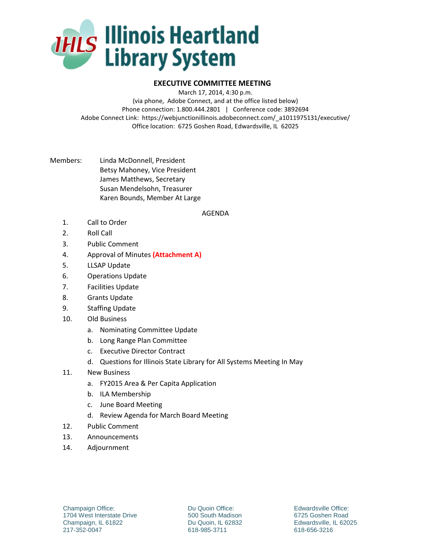

## **EXECUTIVE COMMITTEE MEETING**

March 17, 2014, 4:30 p.m.

(via phone, Adobe Connect, and at the office listed below) Phone connection: 1.800.444.2801 | Conference code: 3892694 Adobe Connect Link: https://webjunctionillinois.adobeconnect.com/\_a1011975131/executive/ Office location: 6725 Goshen Road, Edwardsville, IL 62025

Members: Linda McDonnell, President Betsy Mahoney, Vice President James Matthews, Secretary Susan Mendelsohn, Treasurer Karen Bounds, Member At Large

## AGENDA

- 1. Call to Order
- 2. Roll Call
- 3. Public Comment
- 4. Approval of Minutes **(Attachment A)**
- 5. LLSAP Update
- 6. Operations Update
- 7. Facilities Update
- 8. Grants Update
- 9. Staffing Update
- 10. Old Business
	- a. Nominating Committee Update
	- b. Long Range Plan Committee
	- c. Executive Director Contract
	- d. Questions for Illinois State Library for All Systems Meeting In May
- 11. New Business
	- a. FY2015 Area & Per Capita Application
	- b. ILA Membership
	- c. June Board Meeting
	- d. Review Agenda for March Board Meeting
- 12. Public Comment
- 13. Announcements
- 14. Adjournment

Du Quoin Office: 500 South Madison Du Quoin, IL 62832 618-985-3711

Edwardsville Office: 6725 Goshen Road Edwardsville, IL 62025 618-656-3216